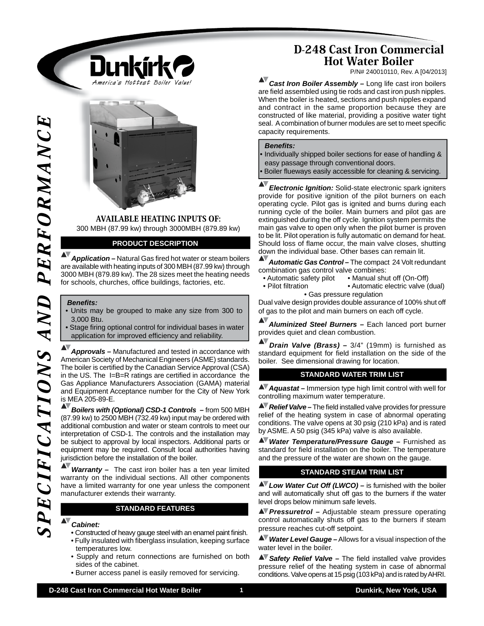

AVAILABLE HEATING INPUTS OF: 300 MBH (87.99 kw) through 3000MBH (879.89 kw)

## **PRODUCT DESCRIPTION**

**Application –** Natural Gas fired hot water or steam boilers are available with heating inputs of 300 MBH (87.99 kw) through 3000 MBH (879.89 kw). The 28 sizes meet the heating needs for schools, churches, office buildings, factories, etc.

#### *Benefi ts:*

- Units may be grouped to make any size from 300 to 3,000 Btu.
- Stage firing optional control for individual bases in water application for improved efficiency and reliability.

*Approvals –* Manufactured and tested in accordance with American Society of Mechanical Engineers (ASME) standards. The boiler is certified by the Canadian Service Approval (CSA) in the US. The  $I=B=R$  ratings are certified in accordance the Gas Appliance Manufacturers Association (GAMA) material and Equipment Acceptance number for the City of New York is MEA 205-89-E.

*Boilers with (Optional) CSD-1 Controls –* from 500 MBH (87.99 kw) to 2500 MBH (732.49 kw) input may be ordered with additional combustion and water or steam controls to meet our interpretation of CSD-1. The controls and the installation may be subject to approval by local inspectors. Additional parts or equipment may be required. Consult local authorities having jurisdiction before the installation of the boiler.

*Warranty –* The cast iron boiler has a ten year limited warranty on the individual sections. All other components have a limited warranty for one year unless the component manufacturer extends their warranty.

#### **STANDARD FEATURES**

#### *Cabinet:*

- Constructed of heavy gauge steel with an enamel paint finish. • Fully insulated with fiberglass insulation, keeping surface temperatures low.
- Supply and return connections are furnished on both sides of the cabinet.
- Burner access panel is easily removed for servicing.

# D-248 Cast Iron Commercial Hot Water Boiler

P/N# 240010110, Rev. A [04/2013]

AV *Cast Iron Boiler Assembly –* Long life cast iron boilers are field assembled using tie rods and cast iron push nipples. When the boiler is heated, sections and push nipples expand and contract in the same proportion because they are constructed of like material, providing a positive water tight seal. A combination of burner modules are set to meet specific capacity requirements.

#### *Benefi ts:*

• Individually shipped boiler sections for ease of handling & easy passage through conventional doors. Boiler flueways easily accessible for cleaning & servicing.

**D-24**<br>
Case of the commercial Hot Water Manuel Manuel Manuel Manuel Manuel Manuel Manuel Manuel Manuel Manuel Manuel Manuel Manuel Manuel Manuel Manuel Manuel Manuel Manuel Manuel Manuel Manuel Manuel Manuel Manuel Manue *Electronic Ignition:* Solid-state electronic spark igniters provide for positive ignition of the pilot burners on each operating cycle. Pilot gas is ignited and burns during each running cycle of the boiler. Main burners and pilot gas are extinguished during the off cycle. Ignition system permits the main gas valve to open only when the pilot burner is proven to be lit. Pilot operation is fully automatic on demand for heat. Should loss of flame occur, the main valve closes, shutting down the individual base. Other bases can remain lit.

*Automatic Gas Control –* The compact 24 Volt redundant combination gas control valve combines:<br>• Automatic safety pilot • Manual shu

- Manual shut off (On-Off)
- Pilot filtration Automatic electric valve (dual) • Gas pressure regulation

Dual valve design provides double assurance of 100% shut off of gas to the pilot and main burners on each off cycle.

*Aluminized Steel Burners –* Each lanced port burner provides quiet and clean combustion.

*Drain Valve (Brass) –* 3/4" (19mm) is furnished as standard equipment for field installation on the side of the boiler. See dimensional drawing for location.

## **STANDARD WATER TRIM LIST**

*Aquastat –* Immersion type high limit control with well for controlling maximum water temperature.

**AV** Relief Valve – The field installed valve provides for pressure relief of the heating system in case of abnormal operating conditions. The valve opens at 30 psig (210 kPa) and is rated by ASME. A 50 psig (345 kPa) valve is also available.

*Water Temperature/Pressure Gauge –* Furnished as standard for field installation on the boiler. The temperature and the pressure of the water are shown on the gauge. 

### **STANDARD STEAM TRIM LIST**

**AV** Low Water Cut Off (LWCO) – is furnished with the boiler and will automatically shut off gas to the burners if the water level drops below minimum safe levels.

*Pressuretrol –* Adjustable steam pressure operating control automatically shuts off gas to the burners if steam pressure reaches cut-off setpoint.

*Water Level Gauge –* Allows for a visual inspection of the water level in the boiler.

**AV** Safety Relief Valve – The field installed valve provides pressure relief of the heating system in case of abnormal conditions. Valve opens at 15 psig (103 kPa) and is rated by AHRI.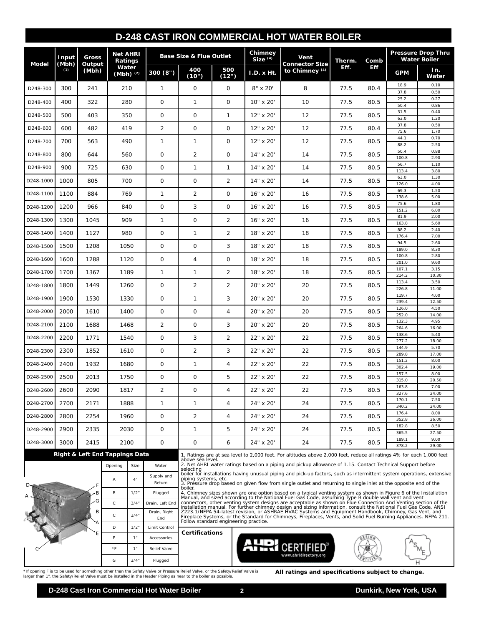## **D-248 CAST IRON COMMERCIAL HOT WATER BOILER**

| Model     | Input<br>(Mbh)<br>(1) | Gross<br>Output<br>(Mbh)       | <b>Net AHRI</b><br>Ratings |       | <b>Base Size &amp; Flue Outlet</b> |                               |                | Chimney<br>$Size^{(4)}$ | Vent<br><b>Connector Size</b>                                                                                                                                                                                                                | Therm. | Comb       | <b>Pressure Drop Thru</b><br><b>Water Boiler</b> |               |  |
|-----------|-----------------------|--------------------------------|----------------------------|-------|------------------------------------|-------------------------------|----------------|-------------------------|----------------------------------------------------------------------------------------------------------------------------------------------------------------------------------------------------------------------------------------------|--------|------------|--------------------------------------------------|---------------|--|
|           |                       |                                | Water<br>(Mbh) $(2)$       |       | 300(8")                            | 400<br>(10")                  | 500<br>(12")   | I.D. x Ht.              | to Chimney (4)                                                                                                                                                                                                                               | Eff.   | <b>Eff</b> | <b>GPM</b>                                       | In.<br>Water  |  |
| D248-300  | 300                   | 241                            | 210                        |       | $\mathbf{1}$                       | $\mathbf 0$                   | $\mathbf{O}$   | 8" x 20"                | 8                                                                                                                                                                                                                                            | 77.5   | 80.4       | 18.9<br>37.8                                     | 0.10<br>0.50  |  |
| D248-400  | 400                   | 322                            | 280                        |       | 0                                  | 1                             | 0              | 10" x 20"               | 10                                                                                                                                                                                                                                           | 77.5   | 80.5       | 25.2                                             | 0.27          |  |
|           |                       |                                |                            |       |                                    |                               |                |                         |                                                                                                                                                                                                                                              |        |            | 50.4<br>31.5                                     | 0.86<br>0.40  |  |
| D248-500  | 500                   | 403                            | 350                        |       | 0                                  | 0                             | 1              | 12" x 20"               | 12                                                                                                                                                                                                                                           | 77.5   | 80.5       | 63.0<br>37.8                                     | 1.20<br>0.50  |  |
| D248-600  | 600                   | 482                            | 419                        |       | 2                                  | $\mathbf 0$                   | $\mathbf{O}$   | 12" x 20'               | 12                                                                                                                                                                                                                                           | 77.5   | 80.4       | 75.6                                             | 1.70          |  |
| D248-700  | 700                   | 563                            | 490                        |       | 1                                  | 1                             | 0              | 12" x 20"               | 12                                                                                                                                                                                                                                           | 77.5   | 80.5       | 44.1<br>88.2                                     | 0.70<br>2.50  |  |
| D248-800  | 800                   | 644                            | 560                        |       | 0                                  | $\overline{2}$                | 0              | 14" x 20"               | 14                                                                                                                                                                                                                                           | 77.5   | 80.5       | 50.4<br>100.8                                    | 0.88<br>2.90  |  |
| D248-900  | 900                   | 725                            | 630                        |       | 0                                  | 1                             | 1              | 14" x 20'               | 14                                                                                                                                                                                                                                           | 77.5   | 80.5       | 56.7<br>113.4                                    | 1.10<br>3.80  |  |
| D248-1000 | 1000                  | 805                            | 700                        |       | $\mathbf 0$                        | $\mathbf 0$                   | 2              | 14" x 20'               | 14                                                                                                                                                                                                                                           | 77.5   | 80.5       | 63.0<br>126.0                                    | 1.30<br>4.00  |  |
| D248-1100 | 1100                  | 884                            | 769                        |       | $\mathbf{1}$                       | $\overline{2}$                | $\mathbf{O}$   | 16" x 20"               | 16                                                                                                                                                                                                                                           | 77.5   | 80.5       | 69.3                                             | 1.50          |  |
| D248-1200 | 1200                  | 966                            | 840                        |       | 0                                  | 3                             | $\mathbf{O}$   | 16" x 20'               | 16                                                                                                                                                                                                                                           | 77.5   | 80.5       | 138.6<br>75.6                                    | 5.00<br>1.80  |  |
|           |                       |                                |                            |       |                                    |                               |                |                         |                                                                                                                                                                                                                                              |        |            | 151.2<br>81.9                                    | 6.00<br>2.00  |  |
| D248-1300 | 1300                  | 1045                           | 909                        |       | $\mathbf{1}$                       | $\mathbf 0$                   | $\overline{2}$ | $16"$ x $20'$           | 16                                                                                                                                                                                                                                           | 77.5   | 80.5       | 163.8                                            | 5.60          |  |
| D248-1400 | 1400                  | 1127                           | 980                        |       | $\mathbf 0$                        | $\mathbf{1}$                  | 2              | 18" x 20'               | 18                                                                                                                                                                                                                                           | 77.5   | 80.5       | 88.2<br>176.4                                    | 2.40<br>7.00  |  |
| D248-1500 | 1500                  | 1208                           | 1050                       |       | 0                                  | $\mathbf 0$                   | 3              | 18" x 20'               | 18                                                                                                                                                                                                                                           | 77.5   | 80.5       | 94.5<br>189.0                                    | 2.60<br>8.30  |  |
| D248-1600 | 1600                  | 1288                           | 1120                       |       | 0                                  | 4                             | $\mathbf{O}$   | 18" x 20'               | 18                                                                                                                                                                                                                                           | 77.5   | 80.5       | 100.8                                            | 2.80          |  |
|           |                       |                                |                            |       |                                    |                               |                |                         |                                                                                                                                                                                                                                              |        |            | 201.0<br>107.1                                   | 9.60<br>3.15  |  |
| D248-1700 | 1700                  | 1367                           | 1189                       |       | $\mathbf{1}$                       | 1                             | $\overline{2}$ | 18" x 20"               | 18                                                                                                                                                                                                                                           | 77.5   | 80.5       | 214.2<br>113.4                                   | 10.30<br>3.50 |  |
| D248-1800 | 1800                  | 1449                           | 1260                       |       | 0                                  | $\overline{2}$                | $\overline{c}$ | 20" x 20'               | 20                                                                                                                                                                                                                                           | 77.5   | 80.5       | 226.8                                            | 11.00         |  |
| D248-1900 | 1900                  | 1530                           | 1330                       |       | 0                                  | 1                             | 3              | 20" x 20'               | 20                                                                                                                                                                                                                                           | 77.5   | 80.5       | 119.7<br>239.4                                   | 4.00<br>12.50 |  |
| D248-2000 | 2000                  | 1610                           | 1400                       |       | 0                                  | 0                             | 4              | 20" x 20"               | 20                                                                                                                                                                                                                                           | 77.5   | 80.5       | 126.0<br>252.0                                   | 4.50<br>14.00 |  |
| D248-2100 | 2100                  | 1688                           | 1468                       |       | $\overline{2}$                     | $\mathbf 0$                   | 3              | 20" x 20"               | 20                                                                                                                                                                                                                                           | 77.5   | 80.5       | 132.3<br>264.6                                   | 4.95<br>16.00 |  |
| D248-2200 | 2200                  | 1771                           | 1540                       |       | 0                                  | 3                             | $\overline{2}$ | 22" x 20'               | 22                                                                                                                                                                                                                                           | 77.5   | 80.5       | 138.6                                            | 5.40          |  |
|           |                       |                                |                            |       |                                    |                               |                |                         |                                                                                                                                                                                                                                              |        |            | 277.2<br>144.9                                   | 18.00<br>5.70 |  |
| D248-2300 | 2300                  | 1852                           | 1610                       |       | 0                                  | $\overline{2}$                | 3              | 22" x 20'               | 22                                                                                                                                                                                                                                           | 77.5   | 80.5       | 289.8<br>151.2                                   | 17.00<br>8.00 |  |
| D248-2400 | 2400                  | 1932                           | 1680                       |       | 0                                  | 1                             | 4              | 22" x 20'               | 22                                                                                                                                                                                                                                           | 77.5   | 80.5       | 302.4                                            | 19.00         |  |
| D248-2500 | 2500                  | 2013                           | 1750                       |       | 0                                  | 0                             | 5              | 22" x 20'               | 22                                                                                                                                                                                                                                           | 77.5   | 80.5       | 157.5<br>315.0                                   | 8.00<br>20.50 |  |
| D248-2600 | 2600                  | 2090                           | 1817                       |       | $\overline{2}$                     | 0                             | 4              | 22" x 20"               | 22                                                                                                                                                                                                                                           | 77.5   | 80.5       | 163.8<br>327.6                                   | 7.00<br>24.00 |  |
| D248-2700 | 2700                  | 2171                           | 1888                       |       | 1                                  | 1                             | 4              | 24" x 20"               | 24                                                                                                                                                                                                                                           | 77.5   | 80.5       | 170.1                                            | 7.50          |  |
| D248-2800 | 2800                  | 2254                           |                            |       |                                    |                               | 4              | 24" x 20'               |                                                                                                                                                                                                                                              |        | 80.5       | 340.2<br>176.4                                   | 24.00<br>8.00 |  |
|           |                       |                                | 1960                       |       | 0                                  | $\overline{2}$                |                |                         | 24                                                                                                                                                                                                                                           | 77.5   |            | 352.8<br>182.8                                   | 26.00<br>8.50 |  |
| D248-2900 | 2900                  | 2335                           | 2030                       |       | 0                                  | 1                             | 5              | 24" x 20"               | 24                                                                                                                                                                                                                                           | 77.5   | 80.5       | 365.5                                            | 27.50         |  |
| D248-3000 | 3000                  | 2415                           | 2100                       |       | 0                                  | 0                             | 6              | 24" x 20"               | 24                                                                                                                                                                                                                                           | 77.5   | 80.5       | 189.1<br>378.2                                   | 9.00<br>29.00 |  |
|           |                       | Right & Left End Tappings Data |                            |       |                                    |                               |                |                         | 1. Ratings are at sea level to 2,000 feet. For altitudes above 2,000 feet, reduce all ratings 4% for each 1,000 feet                                                                                                                         |        |            |                                                  |               |  |
|           |                       |                                | Opening                    | Size  | Water                              | above sea level.<br>selecting |                |                         | 2. Net AHRI water ratings based on a piping and pickup allowance of 1.15. Contact Technical Support before                                                                                                                                   |        |            |                                                  |               |  |
|           |                       |                                | Α                          | $4$ " | Supply and<br>Return               | piping systems, etc.          |                |                         | boiler for installations having unusual piping and pick-up factors, such as intermittent system operations, extensive<br>$3$ . Pressure drop based on given flow from single outlet and returning to single inlet at the opposite end of the |        |            |                                                  |               |  |

selecting<br>boller for installations having unusual piping and pick-up factors, such as intermittent system operations, extensive<br>piping systems, etc.<br>a). Pressure drop based on given flow from single outlet and returning to

| BI | 3/4'               | Drain, Right<br>End | Follow standard engineering practice. | 2223.1/NFPA 54-latest revision, or ASHRAE HVAC Systems and Equipment Handbook, Chimney, Gas Vent, and  <br>Fireplace Systems, or the Standard for Chimneys, Fireplaces, Vents, and Solid Fuel Burning Appliances. NFPA 2 |  |
|----|--------------------|---------------------|---------------------------------------|--------------------------------------------------------------------------------------------------------------------------------------------------------------------------------------------------------------------------|--|
|    | $1/2$ <sup>*</sup> | Limit Control       | <b>Certifications</b>                 |                                                                                                                                                                                                                          |  |
|    |                    | Accessories         |                                       |                                                                                                                                                                                                                          |  |
|    |                    | <b>Relief Valve</b> |                                       |                                                                                                                                                                                                                          |  |
|    | 3/4                | Plugged             |                                       | www.ahridirectory.org                                                                                                                                                                                                    |  |

\*If opening F is to be used for something other than the Safety Valve or Pressure Relief Valve, or the Safety/Relief Valve is **All ratings and specifications subject to change.**<br>larger than 1", the Safety/Relief Valve must

B 1/2" Plugged C 3/4" Drain, Left End

 $A$  B

 $D_{\text{max}}$  F

B

G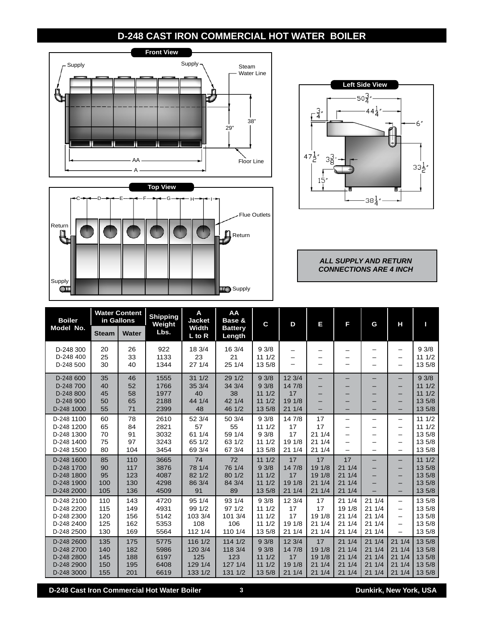# **D-248 CAST IRON COMMERCIAL HOT WATER BOILER**







*ALL SUPPLY AND RETURN CONNECTIONS ARE 4 INCH*

| <b>Boiler</b>                                                      | <b>Water Content</b><br>in Gallons |                                 | <b>Shipping</b><br>Weight            | A<br><b>Jacket</b>                              | AA<br>Base &                                   | C                                         | D                                         | Е                                        | Е                                          | G                                         | Н                                                                            | п                                              |
|--------------------------------------------------------------------|------------------------------------|---------------------------------|--------------------------------------|-------------------------------------------------|------------------------------------------------|-------------------------------------------|-------------------------------------------|------------------------------------------|--------------------------------------------|-------------------------------------------|------------------------------------------------------------------------------|------------------------------------------------|
| Model No.                                                          | <b>Steam</b>                       | <b>Water</b>                    | Lbs.                                 | <b>Width</b><br>$L$ to $R$                      | <b>Battery</b><br>Length                       |                                           |                                           |                                          |                                            |                                           |                                                                              |                                                |
| D-248 300<br>D-248 400<br>D-248 500                                | 20<br>25<br>30                     | 26<br>33<br>40                  | 922<br>1133<br>1344                  | 18 3/4<br>23<br>271/4                           | 16 3/4<br>21<br>25 1/4                         | 93/8<br>111/2<br>13 5/8                   | —<br>—                                    | —                                        | —<br>—                                     |                                           | -<br>$\overline{\phantom{0}}$<br>-                                           | 93/8<br>111/2<br>13 5/8                        |
| D-248 600<br>D-248 700<br>D-248 800<br>D-248 900<br>D-248 1000     | 35<br>40<br>45<br>50<br>55         | 46<br>52<br>58<br>65<br>71      | 1555<br>1766<br>1977<br>2188<br>2399 | 311/2<br>35 3/4<br>40<br>44 1/4<br>48           | 29 1/2<br>34 3/4<br>38<br>42 1/4<br>46 1/2     | 93/8<br>93/8<br>111/2<br>111/2<br>13 5/8  | 12 3/4<br>14 7/8<br>17<br>19 1/8<br>211/4 | -<br>-<br>-<br>-                         | -                                          |                                           | -<br>—<br>-<br>-                                                             | 93/8<br>111/2<br>111/2<br>13 5/8<br>13 5/8     |
| D-248 1100<br>D-248 1200<br>D-248 1300<br>D-248 1400<br>D-248 1500 | 60<br>65<br>70<br>75<br>80         | 78<br>84<br>91<br>97<br>104     | 2610<br>2821<br>3032<br>3243<br>3454 | 52 3/4<br>57<br>61 1/4<br>65 1/2<br>69 3/4      | 50 3/4<br>55<br>59 1/4<br>63 1/2<br>67 3/4     | 93/8<br>111/2<br>93/8<br>111/2<br>13 5/8  | 14 7/8<br>17<br>17<br>19 1/8<br>211/4     | 17<br>17<br>211/4<br>211/4<br>211/4      | -<br>—<br>-                                |                                           | -<br>-<br>-<br>-<br>-                                                        | 111/2<br>111/2<br>13 5/8<br>13 5/8<br>13 5/8   |
| D-248 1600<br>D-248 1700<br>D-248 1800<br>D-248 1900<br>D-248 2000 | 85<br>90<br>95<br>100<br>105       | 110<br>117<br>123<br>130<br>136 | 3665<br>3876<br>4087<br>4298<br>4509 | 74<br>78 1/4<br>82 1/2<br>86 3/4<br>91          | 72<br>76 1/4<br>80 1/2<br>84 3/4<br>89         | 111/2<br>93/8<br>111/2<br>111/2<br>13 5/8 | 17<br>14 7/8<br>17<br>19 1/8<br>211/4     | 17<br>19 1/8<br>19 1/8<br>211/4<br>211/4 | 17<br>211/4<br>211/4<br>211/4<br>211/4     |                                           | -<br>-<br>-<br>-<br>-                                                        | 111/2<br>13 5/8<br>13 5/8<br>13 5/8<br>13 5/8  |
| D-248 2100<br>D-248 2200<br>D-248 2300<br>D-248 2400<br>D-248 2500 | 110<br>115<br>120<br>125<br>130    | 143<br>149<br>156<br>162<br>169 | 4720<br>4931<br>5142<br>5353<br>5564 | 95 1/4<br>99 1/2<br>103 3/4<br>108<br>112 1/4   | 93 1/4<br>971/2<br>101 3/4<br>106<br>110 1/4   | 93/8<br>111/2<br>111/2<br>111/2<br>13 5/8 | 12 3/4<br>17<br>17<br>19 1/8<br>211/4     | 17<br>17<br>19 1/8<br>211/4<br>211/4     | 211/4<br>19 1/8<br>211/4<br>211/4<br>211/4 | 211/4<br>211/4<br>211/4<br>211/4<br>211/4 | -<br>$\qquad \qquad -$<br>-<br>$\overline{\phantom{0}}$<br>$\qquad \qquad -$ | 13 5/8<br>13 5/8<br>13 5/8<br>13 5/8<br>13 5/8 |
| D-248 2600<br>D-248 2700<br>D-248 2800<br>D-248 2900<br>D-248 3000 | 135<br>140<br>145<br>150<br>155    | 175<br>182<br>188<br>195<br>201 | 5775<br>5986<br>6197<br>6408<br>6619 | 116 1/2<br>120 3/4<br>125<br>129 1/4<br>133 1/2 | 1141/2<br>118 3/4<br>123<br>127 1/4<br>131 1/2 | 93/8<br>93/8<br>111/2<br>111/2<br>13 5/8  | 12 3/4<br>14 7/8<br>17<br>19 1/8<br>211/4 | 17<br>19 1/8<br>19 1/8<br>211/4<br>211/4 | 211/4<br>211/4<br>211/4<br>211/4<br>211/4  | 211/4<br>211/4<br>211/4<br>211/4<br>211/4 | 211/4<br>211/4<br>211/4<br>211/4<br>211/4                                    | 13 5/8<br>13 5/8<br>13 5/8<br>13 5/8<br>13 5/8 |

**D-248 Cast Iron Commercial Hot Water Boiler 3 Dunkirk, New York, USA**